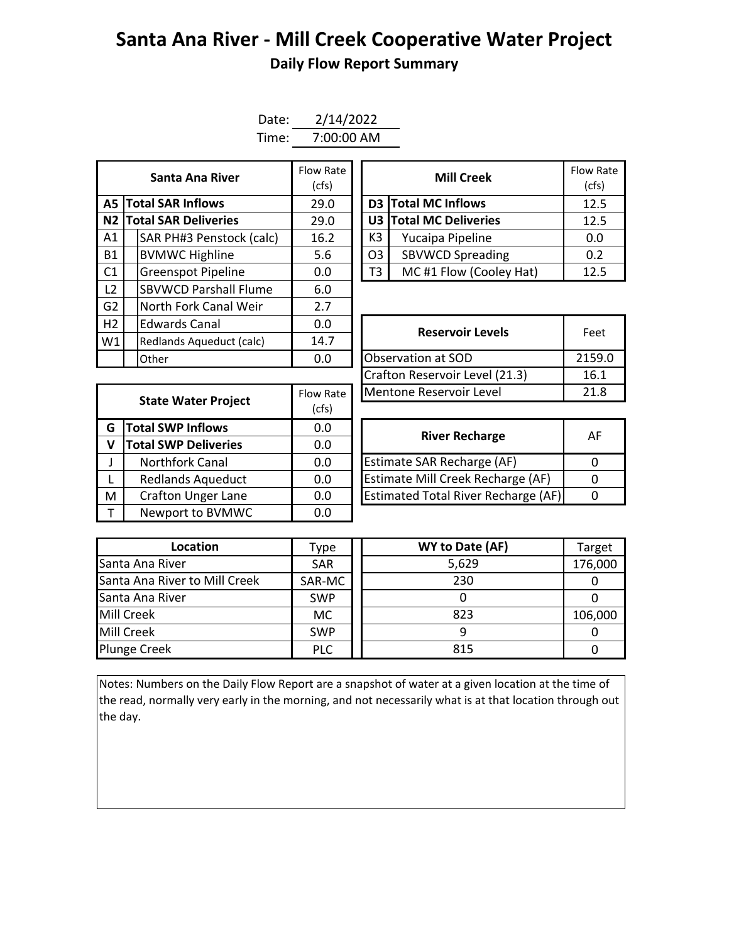## **Santa Ana River - Mill Creek Cooperative Water Project Daily Flow Report Summary**

| Date: | 2/14/2022  |
|-------|------------|
| Time: | 7:00:00 AM |

| Santa Ana River                |  |                              | Flow Rate<br>(cfs) | <b>Mill Creek</b> |                |                               | Flow Ra<br>(cfs) |
|--------------------------------|--|------------------------------|--------------------|-------------------|----------------|-------------------------------|------------------|
| A5 I                           |  | <b>Total SAR Inflows</b>     | 29.0               |                   |                | D3 Total MC Inflows           | 12.5             |
| <b>N2 Total SAR Deliveries</b> |  |                              | 29.0               |                   |                | <b>U3 Total MC Deliveries</b> | 12.5             |
| A1                             |  | SAR PH#3 Penstock (calc)     | 16.2               |                   | K3             | Yucaipa Pipeline              | 0.0              |
| <b>B1</b>                      |  | <b>BVMWC Highline</b>        | 5.6                |                   | O <sub>3</sub> | <b>SBVWCD Spreading</b>       | 0.2              |
| C1                             |  | <b>Greenspot Pipeline</b>    | 0.0                |                   | T <sub>3</sub> | MC#1 Flow (Cooley Hat)        | 12.5             |
| L2                             |  | <b>SBVWCD Parshall Flume</b> | 6.0                |                   |                |                               |                  |
| G <sub>2</sub>                 |  | North Fork Canal Weir        | 2.7                |                   |                |                               |                  |
| H2                             |  | <b>Edwards Canal</b>         | 0.0                |                   |                | <b>Reservoir Levels</b>       | Feet             |
| W1                             |  | Redlands Aqueduct (calc)     | 14.7               |                   |                |                               |                  |
|                                |  | Other                        | 0.0                |                   |                | Observation at SOD            | 2159.            |

| Santa Ana River         | Flow Rate<br>(cfs) |                | <b>Mill Creek</b>       | Flow Rate<br>(cfs) |
|-------------------------|--------------------|----------------|-------------------------|--------------------|
| <b>I SAR Inflows</b>    | 29.0               |                | D3 Total MC Inflows     | 12.5               |
| <b>I SAR Deliveries</b> | 29.0               |                | U3 Total MC Deliveries  | 12.5               |
| AR PH#3 Penstock (calc) | 16.2               | K3             | Yucaipa Pipeline        | 0.0                |
| /MWC Highline           | 5.6                | O <sub>3</sub> | <b>SBVWCD Spreading</b> | 0.2                |
| reenspot Pipeline       | 0.0                | T3             | MC#1 Flow (Cooley Hat)  | 12.5               |

|                            |                             |           | Crafton Reservoir Level (21.3)             | 16           |
|----------------------------|-----------------------------|-----------|--------------------------------------------|--------------|
| <b>State Water Project</b> |                             | Flow Rate | Mentone Reservoir Level                    | 21           |
|                            |                             | (cfs)     |                                            |              |
| Total SWP Inflows<br>G     |                             | 0.0       | <b>River Recharge</b>                      | $\mathsf{A}$ |
| $\mathsf{V}$               | <b>Total SWP Deliveries</b> | 0.0       |                                            |              |
| $\mathsf{J}$               | <b>Northfork Canal</b>      | 0.0       | <b>Estimate SAR Recharge (AF)</b>          | $\Omega$     |
| $\mathsf{L}$               | <b>Redlands Aqueduct</b>    | 0.0       | Estimate Mill Creek Recharge (AF)          | $\Omega$     |
| M                          | <b>Crafton Unger Lane</b>   | 0.0       | <b>Estimated Total River Recharge (AF)</b> | $\Omega$     |
| $\mathsf{T}$               | Newport to BVMWC            | 0.0       |                                            |              |

| Edwards Canal                    | 0.0       | <b>Reservoir Levels</b>        | Feet   |
|----------------------------------|-----------|--------------------------------|--------|
| 14.7<br>Redlands Aqueduct (calc) |           |                                |        |
| Other                            | 0.0       | Observation at SOD             | 2159.0 |
|                                  |           | Crafton Reservoir Level (21.3) | 16.1   |
|                                  | Flow Rate | Mentone Reservoir Level        | 21.8   |
| <b>State Water Project</b>       | $\cdots$  |                                |        |

| <b>River Recharge</b>                      | ΑF |
|--------------------------------------------|----|
| Estimate SAR Recharge (AF)                 |    |
| <b>Estimate Mill Creek Recharge (AF)</b>   |    |
| <b>Estimated Total River Recharge (AF)</b> |    |

| Location                      | Type       | WY to Date (AF) | Target  |
|-------------------------------|------------|-----------------|---------|
| Santa Ana River               | <b>SAR</b> | 5,629           | 176,000 |
| Santa Ana River to Mill Creek | SAR-MC     | 230             |         |
| Santa Ana River               | <b>SWP</b> |                 |         |
| Mill Creek                    | <b>MC</b>  | 823             | 106,000 |
| Mill Creek                    | <b>SWP</b> |                 |         |
| <b>Plunge Creek</b>           | <b>PLC</b> | 815             |         |

Notes: Numbers on the Daily Flow Report are a snapshot of water at a given location at the time of the read, normally very early in the morning, and not necessarily what is at that location through out the day.